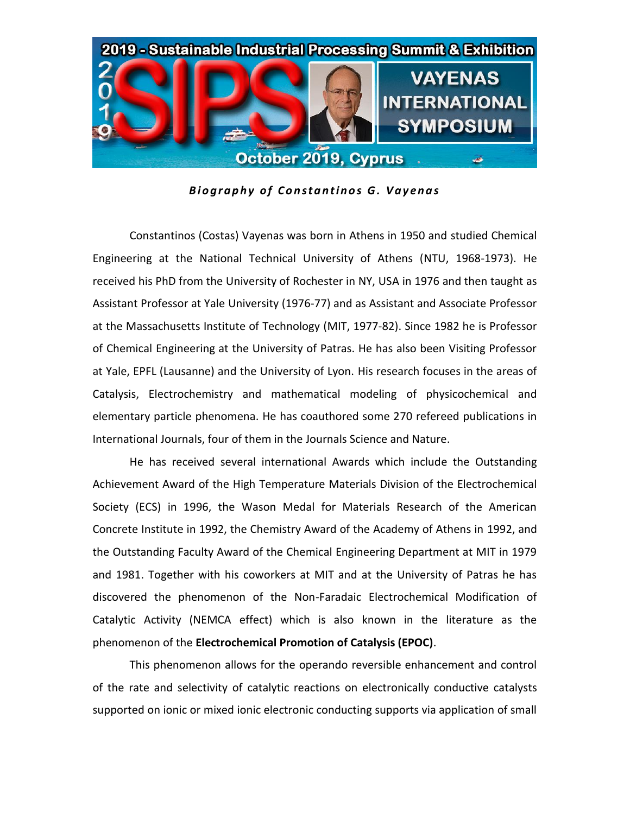

**Biography of Constantinos G. Vayenas** 

Constantinos (Costas) Vayenas was born in Athens in 1950 and studied Chemical Engineering at the National Technical University of Athens (NTU, 1968-1973). He received his PhD from the University of Rochester in NY, USA in 1976 and then taught as Assistant Professor at Yale University (1976-77) and as Assistant and Associate Professor at the Massachusetts Institute of Technology (ΜΙΤ, 1977-82). Since 1982 he is Professor of Chemical Engineering at the University of Patras. He has also been Visiting Professor at Yale, EPFL (Lausanne) and the University of Lyon. His research focuses in the areas of Catalysis, Electrochemistry and mathematical modeling of physicochemical and elementary particle phenomena. He has coauthored some 270 refereed publications in International Journals, four of them in the Journals Science and Nature.

He has received several international Awards which include the Outstanding Achievement Award of the High Temperature Materials Division of the Electrochemical Society (ECS) in 1996, the Wason Medal for Materials Research of the American Concrete Institute in 1992, the Chemistry Award of the Academy of Athens in 1992, and the Outstanding Faculty Award of the Chemical Engineering Department at MIT in 1979 and 1981. Together with his coworkers at MIT and at the University of Patras he has discovered the phenomenon of the Non-Faradaic Electrochemical Modification of Catalytic Activity (NEMCA effect) which is also known in the literature as the phenomenon of the **Electrochemical Promotion of Catalysis (EPOC)**.

This phenomenon allows for the operando reversible enhancement and control of the rate and selectivity of catalytic reactions on electronically conductive catalysts supported on ionic or mixed ionic electronic conducting supports via application of small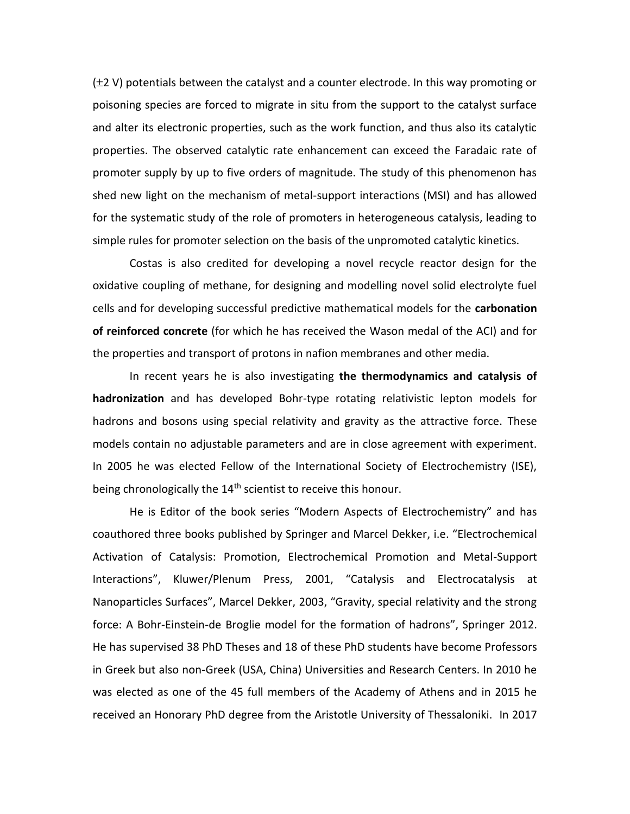$(\pm 2 \text{ V})$  potentials between the catalyst and a counter electrode. In this way promoting or poisoning species are forced to migrate in situ from the support to the catalyst surface and alter its electronic properties, such as the work function, and thus also its catalytic properties. The observed catalytic rate enhancement can exceed the Faradaic rate of promoter supply by up to five orders of magnitude. The study of this phenomenon has shed new light on the mechanism of metal-support interactions (MSI) and has allowed for the systematic study of the role of promoters in heterogeneous catalysis, leading to simple rules for promoter selection on the basis of the unpromoted catalytic kinetics.

Costas is also credited for developing a novel recycle reactor design for the oxidative coupling of methane, for designing and modelling novel solid electrolyte fuel cells and for developing successful predictive mathematical models for the **carbonation of reinforced concrete** (for which he has received the Wason medal of the ACI) and for the properties and transport of protons in nafion membranes and other media.

In recent years he is also investigating **the thermodynamics and catalysis of hadronization** and has developed Bohr-type rotating relativistic lepton models for hadrons and bosons using special relativity and gravity as the attractive force. These models contain no adjustable parameters and are in close agreement with experiment. In 2005 he was elected Fellow of the International Society of Electrochemistry (ISE), being chronologically the  $14<sup>th</sup>$  scientist to receive this honour.

He is Editor of the book series "Modern Aspects of Electrochemistry" and has coauthored three books published by Springer and Marcel Dekker, i.e. "Electrochemical Activation of Catalysis: Promotion, Electrochemical Promotion and Metal-Support Interactions", Kluwer/Plenum Press, 2001, "Catalysis and Electrocatalysis at Nanoparticles Surfaces", Marcel Dekker, 2003, "Gravity, special relativity and the strong force: A Bohr-Einstein-de Broglie model for the formation of hadrons", Springer 2012. He has supervised 38 PhD Theses and 18 of these PhD students have become Professors in Greek but also non-Greek (USA, China) Universities and Research Centers. In 2010 he was elected as one of the 45 full members of the Academy of Athens and in 2015 he received an Honorary PhD degree from the Aristotle University of Thessaloniki. In 2017